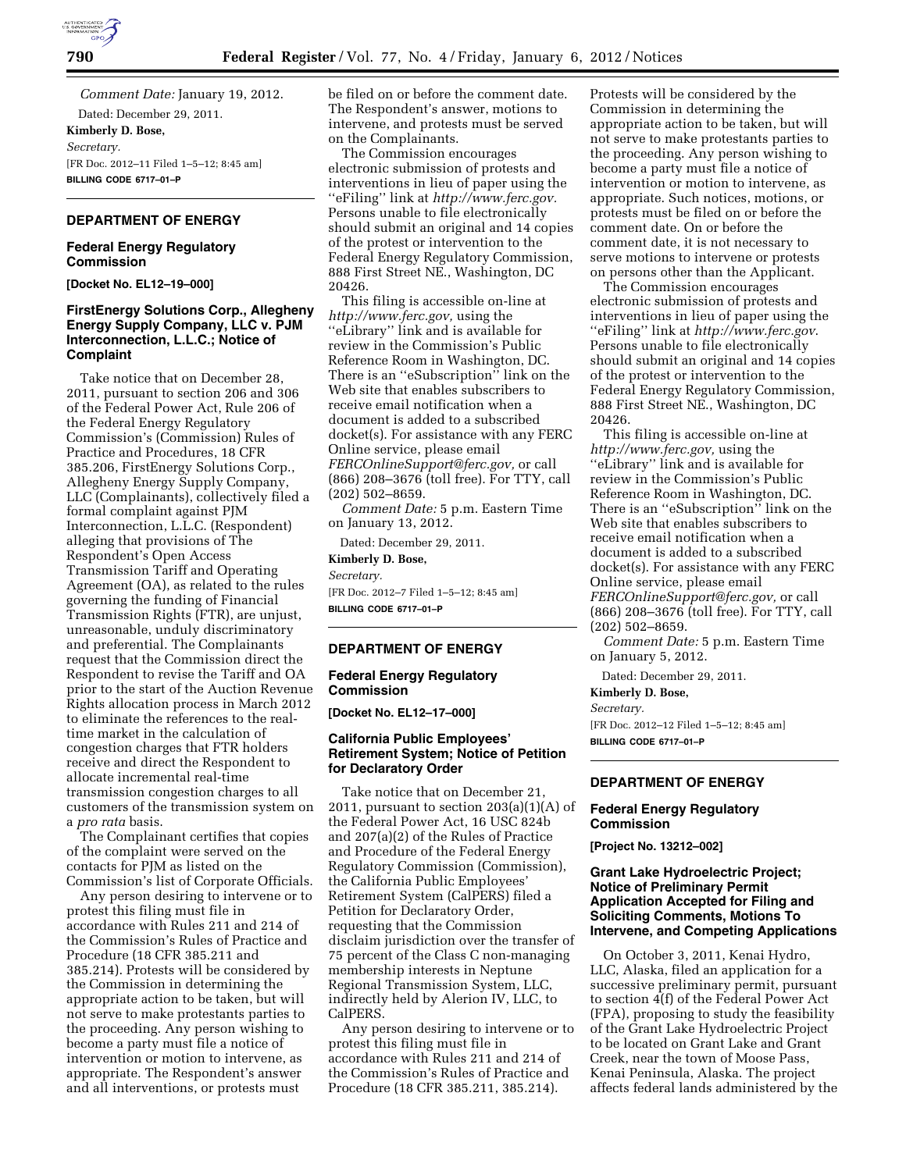

*Comment Date:* January 19, 2012.

Dated: December 29, 2011. **Kimberly D. Bose,**  *Secretary.*  [FR Doc. 2012–11 Filed 1–5–12; 8:45 am] **BILLING CODE 6717–01–P** 

# **DEPARTMENT OF ENERGY**

### **Federal Energy Regulatory Commission**

**[Docket No. EL12–19–000]** 

# **FirstEnergy Solutions Corp., Allegheny Energy Supply Company, LLC v. PJM Interconnection, L.L.C.; Notice of Complaint**

Take notice that on December 28, 2011, pursuant to section 206 and 306 of the Federal Power Act, Rule 206 of the Federal Energy Regulatory Commission's (Commission) Rules of Practice and Procedures, 18 CFR 385.206, FirstEnergy Solutions Corp., Allegheny Energy Supply Company, LLC (Complainants), collectively filed a formal complaint against PJM Interconnection, L.L.C. (Respondent) alleging that provisions of The Respondent's Open Access Transmission Tariff and Operating Agreement (OA), as related to the rules governing the funding of Financial Transmission Rights (FTR), are unjust, unreasonable, unduly discriminatory and preferential. The Complainants request that the Commission direct the Respondent to revise the Tariff and OA prior to the start of the Auction Revenue Rights allocation process in March 2012 to eliminate the references to the realtime market in the calculation of congestion charges that FTR holders receive and direct the Respondent to allocate incremental real-time transmission congestion charges to all customers of the transmission system on a *pro rata* basis.

The Complainant certifies that copies of the complaint were served on the contacts for PJM as listed on the Commission's list of Corporate Officials.

Any person desiring to intervene or to protest this filing must file in accordance with Rules 211 and 214 of the Commission's Rules of Practice and Procedure (18 CFR 385.211 and 385.214). Protests will be considered by the Commission in determining the appropriate action to be taken, but will not serve to make protestants parties to the proceeding. Any person wishing to become a party must file a notice of intervention or motion to intervene, as appropriate. The Respondent's answer and all interventions, or protests must

be filed on or before the comment date. The Respondent's answer, motions to intervene, and protests must be served on the Complainants.

The Commission encourages electronic submission of protests and interventions in lieu of paper using the ''eFiling'' link at *[http://www.ferc.gov.](http://www.ferc.gov)*  Persons unable to file electronically should submit an original and 14 copies of the protest or intervention to the Federal Energy Regulatory Commission, 888 First Street NE., Washington, DC 20426.

This filing is accessible on-line at *[http://www.ferc.gov,](http://www.ferc.gov)* using the ''eLibrary'' link and is available for review in the Commission's Public Reference Room in Washington, DC. There is an ''eSubscription'' link on the Web site that enables subscribers to receive email notification when a document is added to a subscribed docket(s). For assistance with any FERC Online service, please email *[FERCOnlineSupport@ferc.gov,](mailto:FERCOnlineSupport@ferc.gov)* or call (866) 208–3676 (toll free). For TTY, call (202) 502–8659.

*Comment Date:* 5 p.m. Eastern Time on January 13, 2012.

Dated: December 29, 2011.

**Kimberly D. Bose,**  *Secretary.*  [FR Doc. 2012–7 Filed 1–5–12; 8:45 am] **BILLING CODE 6717–01–P** 

## **DEPARTMENT OF ENERGY**

#### **Federal Energy Regulatory Commission**

**[Docket No. EL12–17–000]** 

#### **California Public Employees' Retirement System; Notice of Petition for Declaratory Order**

Take notice that on December 21, 2011, pursuant to section  $203(a)(1)(A)$  of the Federal Power Act, 16 USC 824b and 207(a)(2) of the Rules of Practice and Procedure of the Federal Energy Regulatory Commission (Commission), the California Public Employees' Retirement System (CalPERS) filed a Petition for Declaratory Order, requesting that the Commission disclaim jurisdiction over the transfer of 75 percent of the Class C non-managing membership interests in Neptune Regional Transmission System, LLC, indirectly held by Alerion IV, LLC, to CalPERS.

Any person desiring to intervene or to protest this filing must file in accordance with Rules 211 and 214 of the Commission's Rules of Practice and Procedure (18 CFR 385.211, 385.214).

Protests will be considered by the Commission in determining the appropriate action to be taken, but will not serve to make protestants parties to the proceeding. Any person wishing to become a party must file a notice of intervention or motion to intervene, as appropriate. Such notices, motions, or protests must be filed on or before the comment date. On or before the comment date, it is not necessary to serve motions to intervene or protests on persons other than the Applicant.

The Commission encourages electronic submission of protests and interventions in lieu of paper using the ''eFiling'' link at *<http://www.ferc.gov>*. Persons unable to file electronically should submit an original and 14 copies of the protest or intervention to the Federal Energy Regulatory Commission, 888 First Street NE., Washington, DC 20426.

This filing is accessible on-line at *[http://www.ferc.gov,](http://www.ferc.gov)* using the ''eLibrary'' link and is available for review in the Commission's Public Reference Room in Washington, DC. There is an ''eSubscription'' link on the Web site that enables subscribers to receive email notification when a document is added to a subscribed docket(s). For assistance with any FERC Online service, please email *[FERCOnlineSupport@ferc.gov,](mailto:FERCOnlineSupport@ferc.gov)* or call (866) 208–3676 (toll free). For TTY, call (202) 502–8659.

*Comment Date:* 5 p.m. Eastern Time on January 5, 2012.

Dated: December 29, 2011.

**Kimberly D. Bose,** 

*Secretary.*  [FR Doc. 2012–12 Filed 1–5–12; 8:45 am] **BILLING CODE 6717–01–P** 

#### **DEPARTMENT OF ENERGY**

#### **Federal Energy Regulatory Commission**

**[Project No. 13212–002]** 

### **Grant Lake Hydroelectric Project; Notice of Preliminary Permit Application Accepted for Filing and Soliciting Comments, Motions To Intervene, and Competing Applications**

On October 3, 2011, Kenai Hydro, LLC, Alaska, filed an application for a successive preliminary permit, pursuant to section 4(f) of the Federal Power Act (FPA), proposing to study the feasibility of the Grant Lake Hydroelectric Project to be located on Grant Lake and Grant Creek, near the town of Moose Pass, Kenai Peninsula, Alaska. The project affects federal lands administered by the